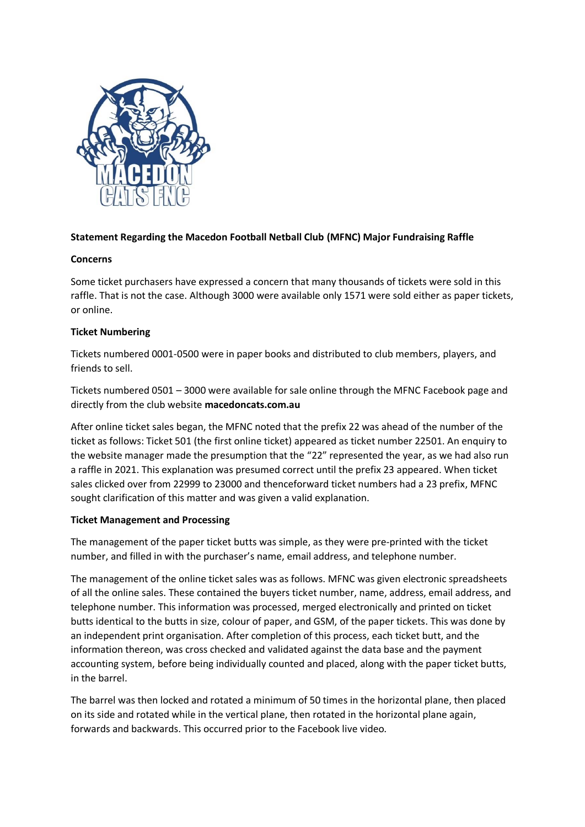

# **Statement Regarding the Macedon Football Netball Club (MFNC) Major Fundraising Raffle**

## **Concerns**

Some ticket purchasers have expressed a concern that many thousands of tickets were sold in this raffle. That is not the case. Although 3000 were available only 1571 were sold either as paper tickets, or online.

## **Ticket Numbering**

Tickets numbered 0001-0500 were in paper books and distributed to club members, players, and friends to sell.

Tickets numbered 0501 – 3000 were available for sale online through the MFNC Facebook page and directly from the club website **macedoncats.com.au**

After online ticket sales began, the MFNC noted that the prefix 22 was ahead of the number of the ticket as follows: Ticket 501 (the first online ticket) appeared as ticket number 22501. An enquiry to the website manager made the presumption that the "22" represented the year, as we had also run a raffle in 2021. This explanation was presumed correct until the prefix 23 appeared. When ticket sales clicked over from 22999 to 23000 and thenceforward ticket numbers had a 23 prefix, MFNC sought clarification of this matter and was given a valid explanation.

## **Ticket Management and Processing**

The management of the paper ticket butts was simple, as they were pre-printed with the ticket number, and filled in with the purchaser's name, email address, and telephone number.

The management of the online ticket sales was as follows. MFNC was given electronic spreadsheets of all the online sales. These contained the buyers ticket number, name, address, email address, and telephone number. This information was processed, merged electronically and printed on ticket butts identical to the butts in size, colour of paper, and GSM, of the paper tickets. This was done by an independent print organisation. After completion of this process, each ticket butt, and the information thereon, was cross checked and validated against the data base and the payment accounting system, before being individually counted and placed, along with the paper ticket butts, in the barrel.

The barrel was then locked and rotated a minimum of 50 times in the horizontal plane, then placed on its side and rotated while in the vertical plane, then rotated in the horizontal plane again, forwards and backwards. This occurred prior to the Facebook live video.